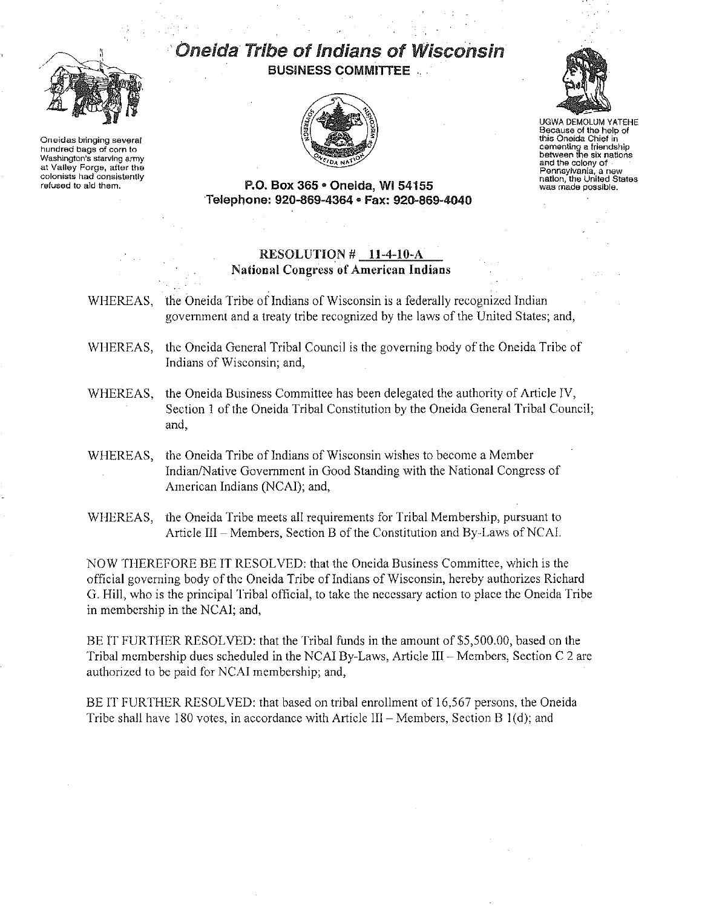

Oneidas bringing several hundred bags of corn to Washington's starving army at Valley Forge, after the colonists had consistently refused to aId them,

.. Oneida Tribe of Indians of Wisconsin BUSINESS COMMITTEE





UGWA DEMOLUM YATEHE Because of the help of this Oneida Chief in cementing a friendship between the six nations and the colony of . Pennsylvania, a new was made possible.

P.O. Box 365· Oneida, WI 54155 Telephone: 920-869-4364 • Fax: 920-869-4040

## RESOLUTION # 11-4-10-A National Congress of American Indians

WHEREAS, the Oneida Tribe of Indians of Wisconsin is a federally recognized Indian government and a treaty tribe recognized by the laws of the United States; and,

- WHEREAS, the Oneida General Tribal Council is the governing body of the Oneida Tribe of Indians of Wisconsin; and,
- WHEREAS, the Oneida Business Committee has been delegated the authority of Article IV, Section 1 of the Oneida Tribal Constitution by the Oneida General Tribal Council; and,
- WHEREAS, the Oneida Tribe of Indians of Wisconsin wishes to become a Member Indian/Native Government in Good Standing with the National Congress of American Indians (NCAI); and,
- WHEREAS, the Oneida Tribe meets all requirements for Tribal Membership, pursuant to Article III - Members, Section B of the Constitution and By-Laws of NCAI.

NOW THEREFORE BE IT RESOLVED: that the Oneida Business Committee, which is the official governing body of the Oneida Tribe of Indians of Wisconsin, hereby authorizes Richard G. Hill, who is the principal Tribal official, to take the necessary action to place the Oneida Tribe in membership in the NCAI; and,

BE IT FURTHER RESOLVED: that the Tribal funds in the amount of \$5,500.00, based on the Tribal membership dues scheduled in the NCAI By-Laws, Article III - Members, Section C 2 are authorized to be paid for NCAI membership; and,

BE IT FURTHER RESOLVED: that based on tribal enrollment of 16,567 persons, the Oneida Tribe shall have 180 votes, in accordance with Article III – Members, Section B 1(d); and